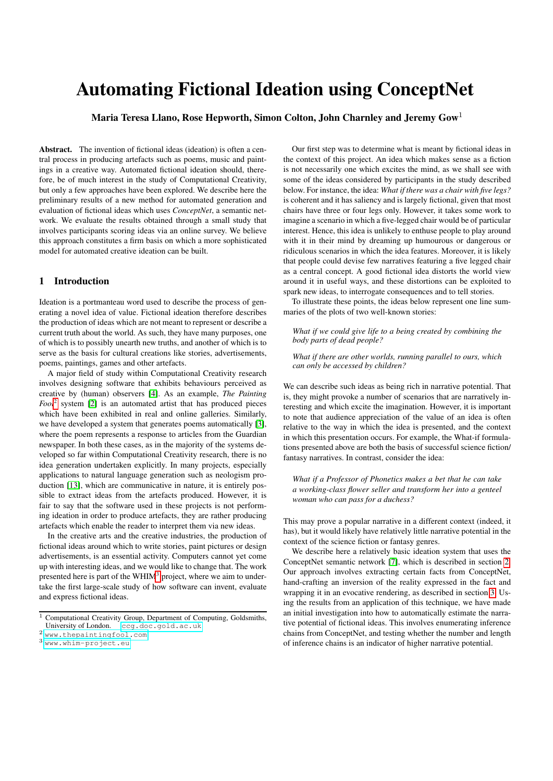# Automating Fictional Ideation using ConceptNet

Maria Teresa Llano, Rose Hepworth, Simon Colton, John Charnley and Jeremy Gow<sup>1</sup>

Abstract. The invention of fictional ideas (ideation) is often a central process in producing artefacts such as poems, music and paintings in a creative way. Automated fictional ideation should, therefore, be of much interest in the study of Computational Creativity, but only a few approaches have been explored. We describe here the preliminary results of a new method for automated generation and evaluation of fictional ideas which uses *ConceptNet*, a semantic network. We evaluate the results obtained through a small study that involves participants scoring ideas via an online survey. We believe this approach constitutes a firm basis on which a more sophisticated model for automated creative ideation can be built.

## 1 Introduction

Ideation is a portmanteau word used to describe the process of generating a novel idea of value. Fictional ideation therefore describes the production of ideas which are not meant to represent or describe a current truth about the world. As such, they have many purposes, one of which is to possibly unearth new truths, and another of which is to serve as the basis for cultural creations like stories, advertisements, poems, paintings, games and other artefacts.

A major field of study within Computational Creativity research involves designing software that exhibits behaviours perceived as creative by (human) observers [\[4\]](#page-6-0). As an example, *The Painting Fool*[2](#page-0-0) system [\[2\]](#page-6-1) is an automated artist that has produced pieces which have been exhibited in real and online galleries. Similarly, we have developed a system that generates poems automatically [\[3\]](#page-6-2), where the poem represents a response to articles from the Guardian newspaper. In both these cases, as in the majority of the systems developed so far within Computational Creativity research, there is no idea generation undertaken explicitly. In many projects, especially applications to natural language generation such as neologism production [\[13\]](#page-6-3), which are communicative in nature, it is entirely possible to extract ideas from the artefacts produced. However, it is fair to say that the software used in these projects is not performing ideation in order to produce artefacts, they are rather producing artefacts which enable the reader to interpret them via new ideas.

In the creative arts and the creative industries, the production of fictional ideas around which to write stories, paint pictures or design advertisements, is an essential activity. Computers cannot yet come up with interesting ideas, and we would like to change that. The work presented here is part of the WHIM<sup>[3](#page-0-1)</sup> project, where we aim to undertake the first large-scale study of how software can invent, evaluate and express fictional ideas.

Our first step was to determine what is meant by fictional ideas in the context of this project. An idea which makes sense as a fiction is not necessarily one which excites the mind, as we shall see with some of the ideas considered by participants in the study described below. For instance, the idea: *What if there was a chair with five legs?* is coherent and it has saliency and is largely fictional, given that most chairs have three or four legs only. However, it takes some work to imagine a scenario in which a five-legged chair would be of particular interest. Hence, this idea is unlikely to enthuse people to play around with it in their mind by dreaming up humourous or dangerous or ridiculous scenarios in which the idea features. Moreover, it is likely that people could devise few narratives featuring a five legged chair as a central concept. A good fictional idea distorts the world view around it in useful ways, and these distortions can be exploited to spark new ideas, to interrogate consequences and to tell stories.

To illustrate these points, the ideas below represent one line summaries of the plots of two well-known stories:

*What if we could give life to a being created by combining the body parts of dead people?*

*What if there are other worlds, running parallel to ours, which can only be accessed by children?*

We can describe such ideas as being rich in narrative potential. That is, they might provoke a number of scenarios that are narratively interesting and which excite the imagination. However, it is important to note that audience appreciation of the value of an idea is often relative to the way in which the idea is presented, and the context in which this presentation occurs. For example, the What-if formulations presented above are both the basis of successful science fiction/ fantasy narratives. In contrast, consider the idea:

*What if a Professor of Phonetics makes a bet that he can take a working-class flower seller and transform her into a genteel woman who can pass for a duchess?*

This may prove a popular narrative in a different context (indeed, it has), but it would likely have relatively little narrative potential in the context of the science fiction or fantasy genres.

We describe here a relatively basic ideation system that uses the ConceptNet semantic network [\[7\]](#page-6-4), which is described in section [2.](#page-1-0) Our approach involves extracting certain facts from ConceptNet, hand-crafting an inversion of the reality expressed in the fact and wrapping it in an evocative rendering, as described in section [3.](#page-1-1) Using the results from an application of this technique, we have made an initial investigation into how to automatically estimate the narrative potential of fictional ideas. This involves enumerating inference chains from ConceptNet, and testing whether the number and length of inference chains is an indicator of higher narrative potential.

<sup>&</sup>lt;sup>1</sup> Computational Creativity Group, Department of Computing, Goldsmiths, University of London. <ccg.doc.gold.ac.uk>

<span id="page-0-0"></span><sup>2</sup> <www.thepaintingfool.com>

<span id="page-0-1"></span><sup>3</sup> <www.whim-project.eu>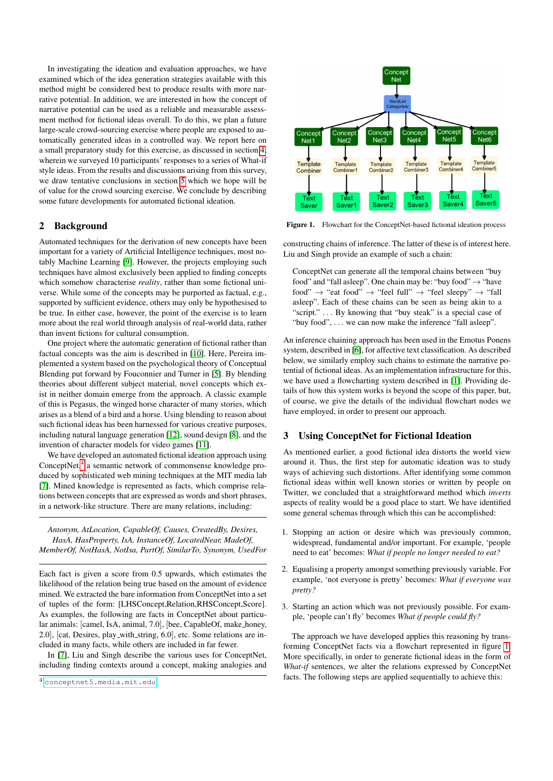In investigating the ideation and evaluation approaches, we have examined which of the idea generation strategies available with this method might be considered best to produce results with more narrative potential. In addition, we are interested in how the concept of narrative potential can be used as a reliable and measurable assessment method for fictional ideas overall. To do this, we plan a future large-scale crowd-sourcing exercise where people are exposed to automatically generated ideas in a controlled way. We report here on a small preparatory study for this exercise, as discussed in section [4,](#page-3-0) wherein we surveyed 10 participants' responses to a series of What-if style ideas. From the results and discussions arising from this survey, we draw tentative conclusions in section [5](#page-6-5) which we hope will be of value for the crowd sourcing exercise. We conclude by describing some future developments for automated fictional ideation.

## <span id="page-1-0"></span>2 Background

Automated techniques for the derivation of new concepts have been important for a variety of Artificial Intelligence techniques, most notably Machine Learning [\[9\]](#page-6-6). However, the projects employing such techniques have almost exclusively been applied to finding concepts which somehow characterise *reality*, rather than some fictional universe. While some of the concepts may be purported as factual, e.g., supported by sufficient evidence, others may only be hypothesised to be true. In either case, however, the point of the exercise is to learn more about the real world through analysis of real-world data, rather than invent fictions for cultural consumption.

One project where the automatic generation of fictional rather than factual concepts was the aim is described in [\[10\]](#page-6-7). Here, Pereira implemented a system based on the psychological theory of Conceptual Blending put forward by Fouconnier and Turner in [\[5\]](#page-6-8). By blending theories about different subject material, novel concepts which exist in neither domain emerge from the approach. A classic example of this is Pegasus, the winged horse character of many stories, which arises as a blend of a bird and a horse. Using blending to reason about such fictional ideas has been harnessed for various creative purposes, including natural language generation [\[12\]](#page-6-9), sound design [\[8\]](#page-6-10), and the invention of character models for video games [\[11\]](#page-6-11).

We have developed an automated fictional ideation approach using ConceptNet,<sup>[4](#page-1-2)</sup> a semantic network of commonsense knowledge produced by sophisticated web mining techniques at the MIT media lab [\[7\]](#page-6-4). Mined knowledge is represented as facts, which comprise relations between concepts that are expressed as words and short phrases, in a network-like structure. There are many relations, including:

*Antonym, AtLocation, CapableOf, Causes, CreatedBy, Desires, HasA, HasProperty, IsA, InstanceOf, LocatedNear, MadeOf, MemberOf, NotHasA, NotIsa, PartOf, SimilarTo, Synonym, UsedFor*

Each fact is given a score from 0.5 upwards, which estimates the likelihood of the relation being true based on the amount of evidence mined. We extracted the bare information from ConceptNet into a set of tuples of the form: [LHSConcept,Relation,RHSConcept,Score]. As examples, the following are facts in ConceptNet about particular animals: [camel, IsA, animal, 7.0], [bee, CapableOf, make honey, 2.0], [cat, Desires, play with string, 6.0], etc. Some relations are included in many facts, while others are included in far fewer.

In [\[7\]](#page-6-4), Liu and Singh describe the various uses for ConceptNet, including finding contexts around a concept, making analogies and



<span id="page-1-3"></span>Figure 1. Flowchart for the ConceptNet-based fictional ideation process

constructing chains of inference. The latter of these is of interest here. Liu and Singh provide an example of such a chain:

ConceptNet can generate all the temporal chains between "buy food" and "fall asleep". One chain may be: "buy food"  $\rightarrow$  "have food"  $\rightarrow$  "eat food"  $\rightarrow$  "feel full"  $\rightarrow$  "feel sleepy"  $\rightarrow$  "fall asleep". Each of these chains can be seen as being akin to a "script." . . . By knowing that "buy steak" is a special case of "buy food", . . . we can now make the inference "fall asleep".

An inference chaining approach has been used in the Emotus Ponens system, described in [\[6\]](#page-6-12), for affective text classification. As described below, we similarly employ such chains to estimate the narrative potential of fictional ideas. As an implementation infrastructure for this, we have used a flowcharting system described in [\[1\]](#page-6-13). Providing details of how this system works is beyond the scope of this paper, but, of course, we give the details of the individual flowchart nodes we have employed, in order to present our approach.

#### <span id="page-1-1"></span>3 Using ConceptNet for Fictional Ideation

As mentioned earlier, a good fictional idea distorts the world view around it. Thus, the first step for automatic ideation was to study ways of achieving such distortions. After identifying some common fictional ideas within well known stories or written by people on Twitter, we concluded that a straightforward method which *inverts* aspects of reality would be a good place to start. We have identified some general schemas through which this can be accomplished:

- 1. Stopping an action or desire which was previously common, widespread, fundamental and/or important. For example, 'people need to eat' becomes: *What if people no longer needed to eat?*
- 2. Equalising a property amongst something previously variable. For example, 'not everyone is pretty' becomes: *What if everyone was pretty?*
- 3. Starting an action which was not previously possible. For example, 'people can't fly' becomes *What if people could fly?*

The approach we have developed applies this reasoning by transforming ConceptNet facts via a flowchart represented in figure [1.](#page-1-3) More specifically, in order to generate fictional ideas in the form of *What-if* sentences, we alter the relations expressed by ConceptNet facts. The following steps are applied sequentially to achieve this:

<span id="page-1-2"></span><sup>4</sup> <conceptnet5.media.mit.edu>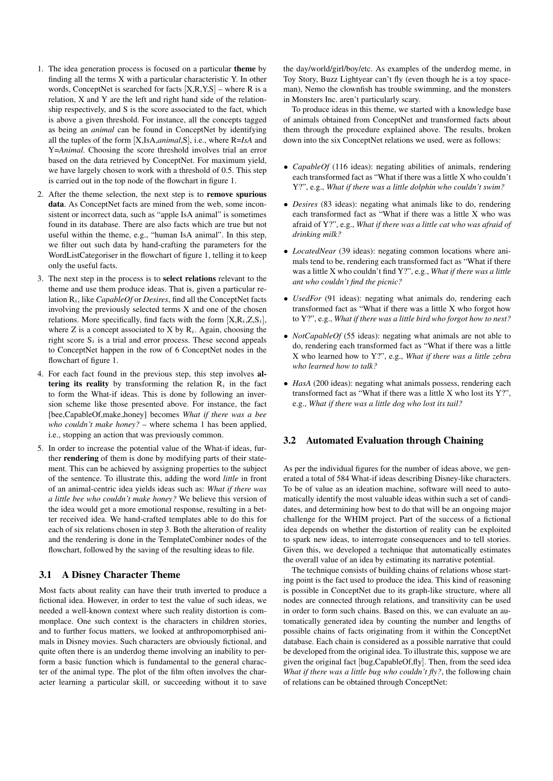- 1. The idea generation process is focused on a particular theme by finding all the terms X with a particular characteristic Y. In other words, ConceptNet is searched for facts  $[X, R, Y, S]$  – where R is a relation, X and Y are the left and right hand side of the relationship respectively, and S is the score associated to the fact, which is above a given threshold. For instance, all the concepts tagged as being an *animal* can be found in ConceptNet by identifying all the tuples of the form [X,IsA,*animal*,S], i.e., where R=*IsA* and Y=*Animal*. Choosing the score threshold involves trial an error based on the data retrieved by ConceptNet. For maximum yield, we have largely chosen to work with a threshold of 0.5. This step is carried out in the top node of the flowchart in figure 1.
- 2. After the theme selection, the next step is to remove spurious data. As ConceptNet facts are mined from the web, some inconsistent or incorrect data, such as "apple IsA animal" is sometimes found in its database. There are also facts which are true but not useful within the theme, e.g., "human IsA animal". In this step, we filter out such data by hand-crafting the parameters for the WordListCategoriser in the flowchart of figure 1, telling it to keep only the useful facts.
- 3. The next step in the process is to select relations relevant to the theme and use them produce ideas. That is, given a particular relation Ri, like *CapableOf* or *Desires*, find all the ConceptNet facts involving the previously selected terms X and one of the chosen relations. More specifically, find facts with the form  $[X, R_i, Z, S_i]$ , where Z is a concept associated to X by  $R_i$ . Again, choosing the right score  $S_i$  is a trial and error process. These second appeals to ConceptNet happen in the row of 6 ConceptNet nodes in the flowchart of figure 1.
- 4. For each fact found in the previous step, this step involves altering its reality by transforming the relation  $R_i$  in the fact to form the What-if ideas. This is done by following an inversion scheme like those presented above. For instance, the fact [bee,CapableOf,make honey] becomes *What if there was a bee who couldn't make honey?* – where schema 1 has been applied, i.e., stopping an action that was previously common.
- 5. In order to increase the potential value of the What-if ideas, further rendering of them is done by modifying parts of their statement. This can be achieved by assigning properties to the subject of the sentence. To illustrate this, adding the word *little* in front of an animal-centric idea yields ideas such as: *What if there was a little bee who couldn't make honey?* We believe this version of the idea would get a more emotional response, resulting in a better received idea. We hand-crafted templates able to do this for each of six relations chosen in step 3. Both the alteration of reality and the rendering is done in the TemplateCombiner nodes of the flowchart, followed by the saving of the resulting ideas to file.

## 3.1 A Disney Character Theme

Most facts about reality can have their truth inverted to produce a fictional idea. However, in order to test the value of such ideas, we needed a well-known context where such reality distortion is commonplace. One such context is the characters in children stories, and to further focus matters, we looked at anthropomorphised animals in Disney movies. Such characters are obviously fictional, and quite often there is an underdog theme involving an inability to perform a basic function which is fundamental to the general character of the animal type. The plot of the film often involves the character learning a particular skill, or succeeding without it to save the day/world/girl/boy/etc. As examples of the underdog meme, in Toy Story, Buzz Lightyear can't fly (even though he is a toy spaceman), Nemo the clownfish has trouble swimming, and the monsters in Monsters Inc. aren't particularly scary.

To produce ideas in this theme, we started with a knowledge base of animals obtained from ConceptNet and transformed facts about them through the procedure explained above. The results, broken down into the six ConceptNet relations we used, were as follows:

- *CapableOf* (116 ideas): negating abilities of animals, rendering each transformed fact as "What if there was a little X who couldn't Y?", e.g., *What if there was a little dolphin who couldn't swim?*
- *Desires* (83 ideas): negating what animals like to do, rendering each transformed fact as "What if there was a little X who was afraid of Y?", e.g., *What if there was a little cat who was afraid of drinking milk?*
- *LocatedNear* (39 ideas): negating common locations where animals tend to be, rendering each transformed fact as "What if there was a little X who couldn't find Y?", e.g., *What if there was a little ant who couldn't find the picnic?*
- *UsedFor* (91 ideas): negating what animals do, rendering each transformed fact as "What if there was a little X who forgot how to Y?", e.g., *What if there was a little bird who forgot how to nest?*
- *NotCapableOf* (55 ideas): negating what animals are not able to do, rendering each transformed fact as "What if there was a little X who learned how to Y?", e.g., *What if there was a little zebra who learned how to talk?*
- *HasA* (200 ideas): negating what animals possess, rendering each transformed fact as "What if there was a little X who lost its Y?", e.g., *What if there was a little dog who lost its tail?*

#### 3.2 Automated Evaluation through Chaining

As per the individual figures for the number of ideas above, we generated a total of 584 What-if ideas describing Disney-like characters. To be of value as an ideation machine, software will need to automatically identify the most valuable ideas within such a set of candidates, and determining how best to do that will be an ongoing major challenge for the WHIM project. Part of the success of a fictional idea depends on whether the distortion of reality can be exploited to spark new ideas, to interrogate consequences and to tell stories. Given this, we developed a technique that automatically estimates the overall value of an idea by estimating its narrative potential.

The technique consists of building chains of relations whose starting point is the fact used to produce the idea. This kind of reasoning is possible in ConceptNet due to its graph-like structure, where all nodes are connected through relations, and transitivity can be used in order to form such chains. Based on this, we can evaluate an automatically generated idea by counting the number and lengths of possible chains of facts originating from it within the ConceptNet database. Each chain is considered as a possible narrative that could be developed from the original idea. To illustrate this, suppose we are given the original fact [bug,CapableOf,fly]. Then, from the seed idea *What if there was a little bug who couldn't fly?*, the following chain of relations can be obtained through ConceptNet: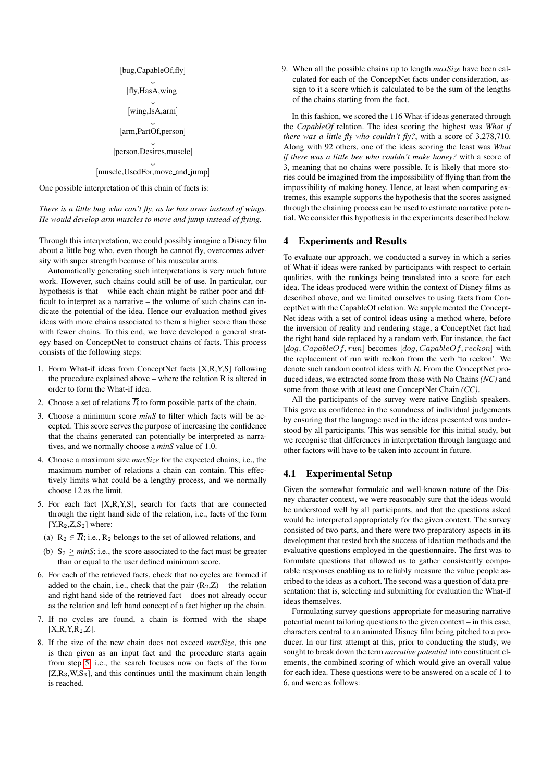[bug,CapableOf,fly] ↓ [fly,HasA,wing] ↓ [wing,IsA,arm] ↓ [arm,PartOf,person] ↓ [person,Desires,muscle] ↓ [muscle,UsedFor,move\_and\_jump]

One possible interpretation of this chain of facts is:

*There is a little bug who can't fly, as he has arms instead of wings. He would develop arm muscles to move and jump instead of flying.*

Through this interpretation, we could possibly imagine a Disney film about a little bug who, even though he cannot fly, overcomes adversity with super strength because of his muscular arms.

Automatically generating such interpretations is very much future work. However, such chains could still be of use. In particular, our hypothesis is that – while each chain might be rather poor and difficult to interpret as a narrative – the volume of such chains can indicate the potential of the idea. Hence our evaluation method gives ideas with more chains associated to them a higher score than those with fewer chains. To this end, we have developed a general strategy based on ConceptNet to construct chains of facts. This process consists of the following steps:

- 1. Form What-if ideas from ConceptNet facts [X,R,Y,S] following the procedure explained above – where the relation R is altered in order to form the What-if idea.
- 2. Choose a set of relations  $\overline{R}$  to form possible parts of the chain.
- 3. Choose a minimum score *minS* to filter which facts will be accepted. This score serves the purpose of increasing the confidence that the chains generated can potentially be interpreted as narratives, and we normally choose a *minS* value of 1.0.
- 4. Choose a maximum size *maxSize* for the expected chains; i.e., the maximum number of relations a chain can contain. This effectively limits what could be a lengthy process, and we normally choose 12 as the limit.
- <span id="page-3-1"></span>5. For each fact [X,R,Y,S], search for facts that are connected through the right hand side of the relation, i.e., facts of the form  $[X,R<sub>2</sub>,Z,S<sub>2</sub>]$  where:
	- (a)  $R_2 \in \overline{R}$ ; i.e.,  $R_2$  belongs to the set of allowed relations, and
- (b)  $S_2 \ge \text{minS}$ ; i.e., the score associated to the fact must be greater than or equal to the user defined minimum score.
- 6. For each of the retrieved facts, check that no cycles are formed if added to the chain, i.e., check that the pair  $(R_2,Z)$  – the relation and right hand side of the retrieved fact – does not already occur as the relation and left hand concept of a fact higher up the chain.
- 7. If no cycles are found, a chain is formed with the shape  $[X,R,Y,R<sub>2</sub>,Z]$
- 8. If the size of the new chain does not exceed *maxSize*, this one is then given as an input fact and the procedure starts again from step [5;](#page-3-1) i.e., the search focuses now on facts of the form  $[Z,R_3,W,S_3]$ , and this continues until the maximum chain length is reached.

9. When all the possible chains up to length *maxSize* have been calculated for each of the ConceptNet facts under consideration, assign to it a score which is calculated to be the sum of the lengths of the chains starting from the fact.

In this fashion, we scored the 116 What-if ideas generated through the *CapableOf* relation. The idea scoring the highest was *What if there was a little fly who couldn't fly?*, with a score of 3,278,710. Along with 92 others, one of the ideas scoring the least was *What if there was a little bee who couldn't make honey?* with a score of 3, meaning that no chains were possible. It is likely that more stories could be imagined from the impossibility of flying than from the impossibility of making honey. Hence, at least when comparing extremes, this example supports the hypothesis that the scores assigned through the chaining process can be used to estimate narrative potential. We consider this hypothesis in the experiments described below.

## <span id="page-3-0"></span>4 Experiments and Results

To evaluate our approach, we conducted a survey in which a series of What-if ideas were ranked by participants with respect to certain qualities, with the rankings being translated into a score for each idea. The ideas produced were within the context of Disney films as described above, and we limited ourselves to using facts from ConceptNet with the CapableOf relation. We supplemented the Concept-Net ideas with a set of control ideas using a method where, before the inversion of reality and rendering stage, a ConceptNet fact had the right hand side replaced by a random verb. For instance, the fact  $[dog, CapableOf, run]$  becomes  $[dog, CapableOf, reckon]$  with the replacement of run with reckon from the verb 'to reckon'. We denote such random control ideas with R. From the ConceptNet produced ideas, we extracted some from those with No Chains *(NC)* and some from those with at least one ConceptNet Chain *(CC)*.

All the participants of the survey were native English speakers. This gave us confidence in the soundness of individual judgements by ensuring that the language used in the ideas presented was understood by all participants. This was sensible for this initial study, but we recognise that differences in interpretation through language and other factors will have to be taken into account in future.

## 4.1 Experimental Setup

Given the somewhat formulaic and well-known nature of the Disney character context, we were reasonably sure that the ideas would be understood well by all participants, and that the questions asked would be interpreted appropriately for the given context. The survey consisted of two parts, and there were two preparatory aspects in its development that tested both the success of ideation methods and the evaluative questions employed in the questionnaire. The first was to formulate questions that allowed us to gather consistently comparable responses enabling us to reliably measure the value people ascribed to the ideas as a cohort. The second was a question of data presentation: that is, selecting and submitting for evaluation the What-if ideas themselves.

Formulating survey questions appropriate for measuring narrative potential meant tailoring questions to the given context – in this case, characters central to an animated Disney film being pitched to a producer. In our first attempt at this, prior to conducting the study, we sought to break down the term *narrative potential* into constituent elements, the combined scoring of which would give an overall value for each idea. These questions were to be answered on a scale of 1 to 6, and were as follows: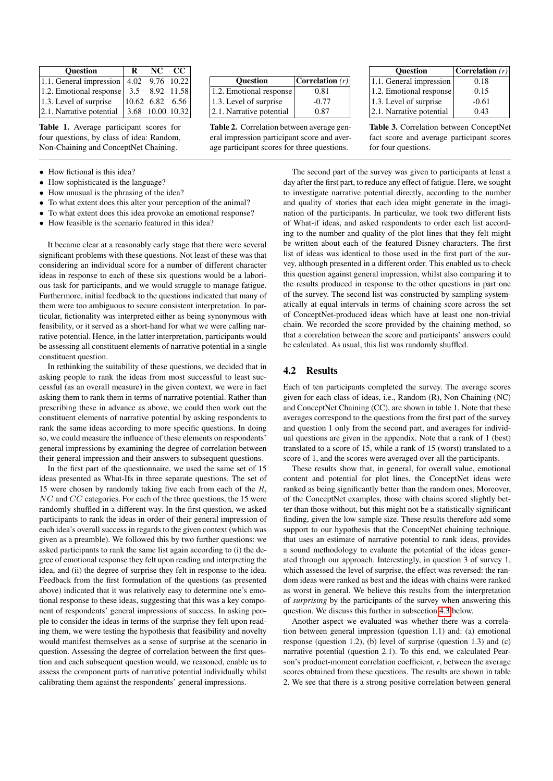| <b>Question</b>                                                            | R                                                                                                 | $NC$ $CC$ |
|----------------------------------------------------------------------------|---------------------------------------------------------------------------------------------------|-----------|
| 1.1. General impression $ 4.02 \t 9.76 \t 10.22 $                          |                                                                                                   |           |
| 1.2. Emotional response $\begin{vmatrix} 3.5 & 8.92 & 11.58 \end{vmatrix}$ |                                                                                                   |           |
| $ 1.3$ . Level of surprise                                                 | $\begin{array}{ l} \n\begin{array}{ l} \n10.62 \quad 6.82 \quad 6.56 \n\end{array} \n\end{array}$ |           |
| $ 2.1$ . Narrative potential                                               | $ 3.68 \t10.00 \t10.32 $                                                                          |           |

Table 1. Average participant scores for four questions, by class of idea: Random, Non-Chaining and ConceptNet Chaining.

- How fictional is this idea?
- How sophisticated is the language?
- How unusual is the phrasing of the idea?
- To what extent does this alter your perception of the animal?
- To what extent does this idea provoke an emotional response?
- How feasible is the scenario featured in this idea?

It became clear at a reasonably early stage that there were several significant problems with these questions. Not least of these was that considering an individual score for a number of different character ideas in response to each of these six questions would be a laborious task for participants, and we would struggle to manage fatigue. Furthermore, initial feedback to the questions indicated that many of them were too ambiguous to secure consistent interpretation. In particular, fictionality was interpreted either as being synonymous with feasibility, or it served as a short-hand for what we were calling narrative potential. Hence, in the latter interpretation, participants would be assessing all constituent elements of narrative potential in a single constituent question.

In rethinking the suitability of these questions, we decided that in asking people to rank the ideas from most successful to least successful (as an overall measure) in the given context, we were in fact asking them to rank them in terms of narrative potential. Rather than prescribing these in advance as above, we could then work out the constituent elements of narrative potential by asking respondents to rank the same ideas according to more specific questions. In doing so, we could measure the influence of these elements on respondents' general impressions by examining the degree of correlation between their general impression and their answers to subsequent questions.

In the first part of the questionnaire, we used the same set of 15 ideas presented as What-Ifs in three separate questions. The set of 15 were chosen by randomly taking five each from each of the  $R$ , NC and CC categories. For each of the three questions, the 15 were randomly shuffled in a different way. In the first question, we asked participants to rank the ideas in order of their general impression of each idea's overall success in regards to the given context (which was given as a preamble). We followed this by two further questions: we asked participants to rank the same list again according to (i) the degree of emotional response they felt upon reading and interpreting the idea, and (ii) the degree of surprise they felt in response to the idea. Feedback from the first formulation of the questions (as presented above) indicated that it was relatively easy to determine one's emotional response to these ideas, suggesting that this was a key component of respondents' general impressions of success. In asking people to consider the ideas in terms of the surprise they felt upon reading them, we were testing the hypothesis that feasibility and novelty would manifest themselves as a sense of surprise at the scenario in question. Assessing the degree of correlation between the first question and each subsequent question would, we reasoned, enable us to assess the component parts of narrative potential individually whilst calibrating them against the respondents' general impressions.

| <b>Ouestion</b>          | $ $ Correlation $(r) $ |
|--------------------------|------------------------|
| 1.2. Emotional response  | 0.81                   |
| 1.3. Level of surprise   | $-0.77$                |
| 2.1. Narrative potential | 0.87                   |

Table 2. Correlation between average general impression participant score and average participant scores for three questions.

| <b>Ouestion</b>          | Correlation $(r)$ |
|--------------------------|-------------------|
| 1.1. General impression  | 0.18              |
| 1.2. Emotional response  | 0.15              |
| 1.3. Level of surprise   | $-0.61$           |
| 2.1. Narrative potential | 0.43              |
|                          |                   |

Table 3. Correlation between ConceptNet fact score and average participant scores for four questions.

The second part of the survey was given to participants at least a day after the first part, to reduce any effect of fatigue. Here, we sought to investigate narrative potential directly, according to the number and quality of stories that each idea might generate in the imagination of the participants. In particular, we took two different lists of What-if ideas, and asked respondents to order each list according to the number and quality of the plot lines that they felt might be written about each of the featured Disney characters. The first list of ideas was identical to those used in the first part of the survey, although presented in a different order. This enabled us to check this question against general impression, whilst also comparing it to the results produced in response to the other questions in part one of the survey. The second list was constructed by sampling systematically at equal intervals in terms of chaining score across the set of ConceptNet-produced ideas which have at least one non-trivial chain. We recorded the score provided by the chaining method, so that a correlation between the score and participants' answers could be calculated. As usual, this list was randomly shuffled.

#### 4.2 Results

Each of ten participants completed the survey. The average scores given for each class of ideas, i.e., Random (R), Non Chaining (NC) and ConceptNet Chaining (CC), are shown in table 1. Note that these averages correspond to the questions from the first part of the survey and question 1 only from the second part, and averages for individual questions are given in the appendix. Note that a rank of 1 (best) translated to a score of 15, while a rank of 15 (worst) translated to a score of 1, and the scores were averaged over all the participants.

These results show that, in general, for overall value, emotional content and potential for plot lines, the ConceptNet ideas were ranked as being significantly better than the random ones. Moreover, of the ConceptNet examples, those with chains scored slightly better than those without, but this might not be a statistically significant finding, given the low sample size. These results therefore add some support to our hypothesis that the ConceptNet chaining technique, that uses an estimate of narrative potential to rank ideas, provides a sound methodology to evaluate the potential of the ideas generated through our approach. Interestingly, in question 3 of survey 1, which assessed the level of surprise, the effect was reversed: the random ideas were ranked as best and the ideas with chains were ranked as worst in general. We believe this results from the interpretation of *surprising* by the participants of the survey when answering this question. We discuss this further in subsection [4.3](#page-5-0) below.

Another aspect we evaluated was whether there was a correlation between general impression (question 1.1) and: (a) emotional response (question 1.2), (b) level of surprise (question 1.3) and (c) narrative potential (question 2.1). To this end, we calculated Pearson's product-moment correlation coefficient, *r*, between the average scores obtained from these questions. The results are shown in table 2. We see that there is a strong positive correlation between general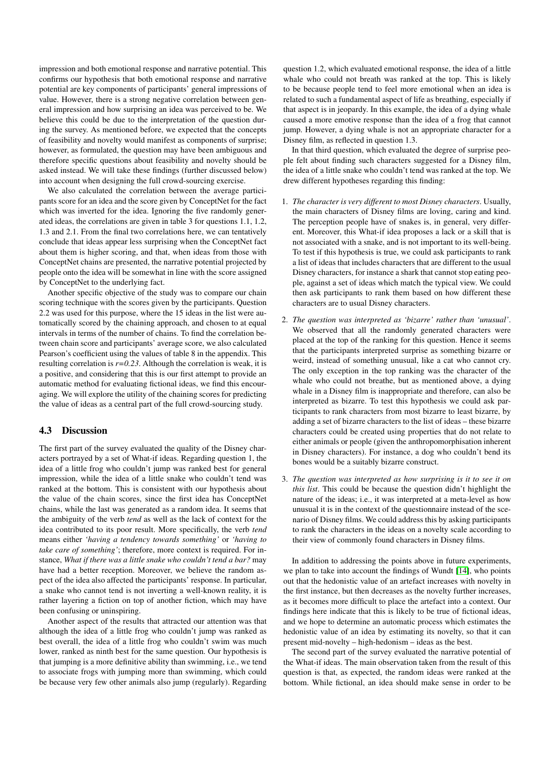impression and both emotional response and narrative potential. This confirms our hypothesis that both emotional response and narrative potential are key components of participants' general impressions of value. However, there is a strong negative correlation between general impression and how surprising an idea was perceived to be. We believe this could be due to the interpretation of the question during the survey. As mentioned before, we expected that the concepts of feasibility and novelty would manifest as components of surprise; however, as formulated, the question may have been ambiguous and therefore specific questions about feasibility and novelty should be asked instead. We will take these findings (further discussed below) into account when designing the full crowd-sourcing exercise.

We also calculated the correlation between the average participants score for an idea and the score given by ConceptNet for the fact which was inverted for the idea. Ignoring the five randomly generated ideas, the correlations are given in table 3 for questions 1.1, 1.2, 1.3 and 2.1. From the final two correlations here, we can tentatively conclude that ideas appear less surprising when the ConceptNet fact about them is higher scoring, and that, when ideas from those with ConceptNet chains are presented, the narrative potential projected by people onto the idea will be somewhat in line with the score assigned by ConceptNet to the underlying fact.

Another specific objective of the study was to compare our chain scoring technique with the scores given by the participants. Question 2.2 was used for this purpose, where the 15 ideas in the list were automatically scored by the chaining approach, and chosen to at equal intervals in terms of the number of chains. To find the correlation between chain score and participants' average score, we also calculated Pearson's coefficient using the values of table 8 in the appendix. This resulting correlation is  $r=0.23$ . Although the correlation is weak, it is a positive, and considering that this is our first attempt to provide an automatic method for evaluating fictional ideas, we find this encouraging. We will explore the utility of the chaining scores for predicting the value of ideas as a central part of the full crowd-sourcing study.

## <span id="page-5-0"></span>4.3 Discussion

The first part of the survey evaluated the quality of the Disney characters portrayed by a set of What-if ideas. Regarding question 1, the idea of a little frog who couldn't jump was ranked best for general impression, while the idea of a little snake who couldn't tend was ranked at the bottom. This is consistent with our hypothesis about the value of the chain scores, since the first idea has ConceptNet chains, while the last was generated as a random idea. It seems that the ambiguity of the verb *tend* as well as the lack of context for the idea contributed to its poor result. More specifically, the verb *tend* means either *'having a tendency towards something'* or *'having to take care of something'*; therefore, more context is required. For instance, *What if there was a little snake who couldn't tend a bar?* may have had a better reception. Moreover, we believe the random aspect of the idea also affected the participants' response. In particular, a snake who cannot tend is not inverting a well-known reality, it is rather layering a fiction on top of another fiction, which may have been confusing or uninspiring.

Another aspect of the results that attracted our attention was that although the idea of a little frog who couldn't jump was ranked as best overall, the idea of a little frog who couldn't swim was much lower, ranked as ninth best for the same question. Our hypothesis is that jumping is a more definitive ability than swimming, i.e., we tend to associate frogs with jumping more than swimming, which could be because very few other animals also jump (regularly). Regarding

question 1.2, which evaluated emotional response, the idea of a little whale who could not breath was ranked at the top. This is likely to be because people tend to feel more emotional when an idea is related to such a fundamental aspect of life as breathing, especially if that aspect is in jeopardy. In this example, the idea of a dying whale caused a more emotive response than the idea of a frog that cannot jump. However, a dying whale is not an appropriate character for a Disney film, as reflected in question 1.3.

In that third question, which evaluated the degree of surprise people felt about finding such characters suggested for a Disney film, the idea of a little snake who couldn't tend was ranked at the top. We drew different hypotheses regarding this finding:

- 1. *The character is very different to most Disney characters*. Usually, the main characters of Disney films are loving, caring and kind. The perception people have of snakes is, in general, very different. Moreover, this What-if idea proposes a lack or a skill that is not associated with a snake, and is not important to its well-being. To test if this hypothesis is true, we could ask participants to rank a list of ideas that includes characters that are different to the usual Disney characters, for instance a shark that cannot stop eating people, against a set of ideas which match the typical view. We could then ask participants to rank them based on how different these characters are to usual Disney characters.
- 2. *The question was interpreted as 'bizarre' rather than 'unusual'*. We observed that all the randomly generated characters were placed at the top of the ranking for this question. Hence it seems that the participants interpreted surprise as something bizarre or weird, instead of something unusual, like a cat who cannot cry. The only exception in the top ranking was the character of the whale who could not breathe, but as mentioned above, a dying whale in a Disney film is inappropriate and therefore, can also be interpreted as bizarre. To test this hypothesis we could ask participants to rank characters from most bizarre to least bizarre, by adding a set of bizarre characters to the list of ideas – these bizarre characters could be created using properties that do not relate to either animals or people (given the anthropomorphisation inherent in Disney characters). For instance, a dog who couldn't bend its bones would be a suitably bizarre construct.
- 3. *The question was interpreted as how surprising is it to see it on this list*. This could be because the question didn't highlight the nature of the ideas; i.e., it was interpreted at a meta-level as how unusual it is in the context of the questionnaire instead of the scenario of Disney films. We could address this by asking participants to rank the characters in the ideas on a novelty scale according to their view of commonly found characters in Disney films.

In addition to addressing the points above in future experiments, we plan to take into account the findings of Wundt [\[14\]](#page-6-14), who points out that the hedonistic value of an artefact increases with novelty in the first instance, but then decreases as the novelty further increases, as it becomes more difficult to place the artefact into a context. Our findings here indicate that this is likely to be true of fictional ideas, and we hope to determine an automatic process which estimates the hedonistic value of an idea by estimating its novelty, so that it can present mid-novelty – high-hedonism – ideas as the best.

The second part of the survey evaluated the narrative potential of the What-if ideas. The main observation taken from the result of this question is that, as expected, the random ideas were ranked at the bottom. While fictional, an idea should make sense in order to be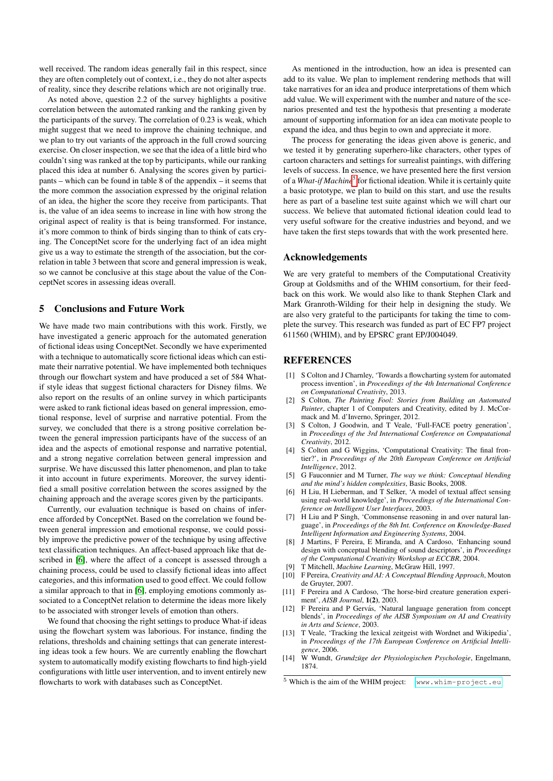well received. The random ideas generally fail in this respect, since they are often completely out of context, i.e., they do not alter aspects of reality, since they describe relations which are not originally true.

As noted above, question 2.2 of the survey highlights a positive correlation between the automated ranking and the ranking given by the participants of the survey. The correlation of 0.23 is weak, which might suggest that we need to improve the chaining technique, and we plan to try out variants of the approach in the full crowd sourcing exercise. On closer inspection, we see that the idea of a little bird who couldn't sing was ranked at the top by participants, while our ranking placed this idea at number 6. Analysing the scores given by participants – which can be found in table 8 of the appendix – it seems that the more common the association expressed by the original relation of an idea, the higher the score they receive from participants. That is, the value of an idea seems to increase in line with how strong the original aspect of reality is that is being transformed. For instance, it's more common to think of birds singing than to think of cats crying. The ConceptNet score for the underlying fact of an idea might give us a way to estimate the strength of the association, but the correlation in table 3 between that score and general impression is weak, so we cannot be conclusive at this stage about the value of the ConceptNet scores in assessing ideas overall.

#### <span id="page-6-5"></span>5 Conclusions and Future Work

We have made two main contributions with this work. Firstly, we have investigated a generic approach for the automated generation of fictional ideas using ConceptNet. Secondly we have experimented with a technique to automatically score fictional ideas which can estimate their narrative potential. We have implemented both techniques through our flowchart system and have produced a set of 584 Whatif style ideas that suggest fictional characters for Disney films. We also report on the results of an online survey in which participants were asked to rank fictional ideas based on general impression, emotional response, level of surprise and narrative potential. From the survey, we concluded that there is a strong positive correlation between the general impression participants have of the success of an idea and the aspects of emotional response and narrative potential, and a strong negative correlation between general impression and surprise. We have discussed this latter phenomenon, and plan to take it into account in future experiments. Moreover, the survey identified a small positive correlation between the scores assigned by the chaining approach and the average scores given by the participants.

Currently, our evaluation technique is based on chains of inference afforded by ConceptNet. Based on the correlation we found between general impression and emotional response, we could possibly improve the predictive power of the technique by using affective text classification techniques. An affect-based approach like that described in [\[6\]](#page-6-12), where the affect of a concept is assessed through a chaining process, could be used to classify fictional ideas into affect categories, and this information used to good effect. We could follow a similar approach to that in [\[6\]](#page-6-12), employing emotions commonly associated to a ConceptNet relation to determine the ideas more likely to be associated with stronger levels of emotion than others.

We found that choosing the right settings to produce What-if ideas using the flowchart system was laborious. For instance, finding the relations, thresholds and chaining settings that can generate interesting ideas took a few hours. We are currently enabling the flowchart system to automatically modify existing flowcharts to find high-yield configurations with little user intervention, and to invent entirely new flowcharts to work with databases such as ConceptNet.

As mentioned in the introduction, how an idea is presented can add to its value. We plan to implement rendering methods that will take narratives for an idea and produce interpretations of them which add value. We will experiment with the number and nature of the scenarios presented and test the hypothesis that presenting a moderate amount of supporting information for an idea can motivate people to expand the idea, and thus begin to own and appreciate it more.

The process for generating the ideas given above is generic, and we tested it by generating superhero-like characters, other types of cartoon characters and settings for surrealist paintings, with differing levels of success. In essence, we have presented here the first version of a What-if Machine<sup>[5](#page-6-15)</sup> for fictional ideation. While it is certainly quite a basic prototype, we plan to build on this start, and use the results here as part of a baseline test suite against which we will chart our success. We believe that automated fictional ideation could lead to very useful software for the creative industries and beyond, and we have taken the first steps towards that with the work presented here.

### Acknowledgements

We are very grateful to members of the Computational Creativity Group at Goldsmiths and of the WHIM consortium, for their feedback on this work. We would also like to thank Stephen Clark and Mark Granroth-Wilding for their help in designing the study. We are also very grateful to the participants for taking the time to complete the survey. This research was funded as part of EC FP7 project 611560 (WHIM), and by EPSRC grant EP/J004049.

#### REFERENCES

- <span id="page-6-13"></span>[1] S Colton and J Charnley, 'Towards a flowcharting system for automated process invention', in *Proceedings of the 4th International Conference on Computational Creativity*, 2013.
- <span id="page-6-1"></span>[2] S Colton, *The Painting Fool: Stories from Building an Automated* Painter, chapter 1 of Computers and Creativity, edited by J. McCormack and M. d'Inverno, Springer, 2012.
- <span id="page-6-2"></span>[3] S Colton, J Goodwin, and T Veale, 'Full-FACE poetry generation', in *Proceedings of the 3rd International Conference on Computational Creativity*, 2012.
- <span id="page-6-0"></span>[4] S Colton and G Wiggins, 'Computational Creativity: The final frontier?', in *Proceedings of the 20th European Conference on Artificial Intelligence*, 2012.
- <span id="page-6-8"></span>[5] G Fauconnier and M Turner, *The way we think: Conceptual blending and the mind's hidden complexities*, Basic Books, 2008.
- <span id="page-6-12"></span>[6] H Liu, H Lieberman, and T Selker, 'A model of textual affect sensing using real-world knowledge', in *Proceedings of the International Conference on Intelligent User Interfaces*, 2003.
- <span id="page-6-4"></span>[7] H Liu and P Singh, 'Commonsense reasoning in and over natural language', in *Proceedings of the 8th Int. Conference on Knowledge-Based Intelligent Information and Engineering Systems*, 2004.
- <span id="page-6-10"></span>[8] J Martins, F Pereira, E Miranda, and A Cardoso, 'Enhancing sound design with conceptual blending of sound descriptors', in *Proceedings of the Computational Creativity Workshop at ECCBR*, 2004.
- <span id="page-6-6"></span>[9] T Mitchell, *Machine Learning*, McGraw Hill, 1997.
- <span id="page-6-7"></span>[10] F Pereira, *Creativity and AI: A Conceptual Blending Approach*, Mouton de Gruyter, 2007.
- <span id="page-6-11"></span>[11] F Pereira and A Cardoso, 'The horse-bird creature generation experiment', *AISB Journal*, 1(2), 2003.
- <span id="page-6-9"></span>[12] F Pereira and P Gervás, 'Natural language generation from concept blends', in *Proceedings of the AISB Symposium on AI and Creativity in Arts and Science*, 2003.
- <span id="page-6-3"></span>[13] T Veale, 'Tracking the lexical zeitgeist with Wordnet and Wikipedia', in *Proceedings of the 17th European Conference on Artificial Intelligence*, 2006.
- <span id="page-6-14"></span>[14] W Wundt, *Grundzüge der Physiologischen Psychologie*, Engelmann, 1874.

<span id="page-6-15"></span><sup>&</sup>lt;sup>5</sup> Which is the aim of the WHIM project: <www.whim-project.eu>